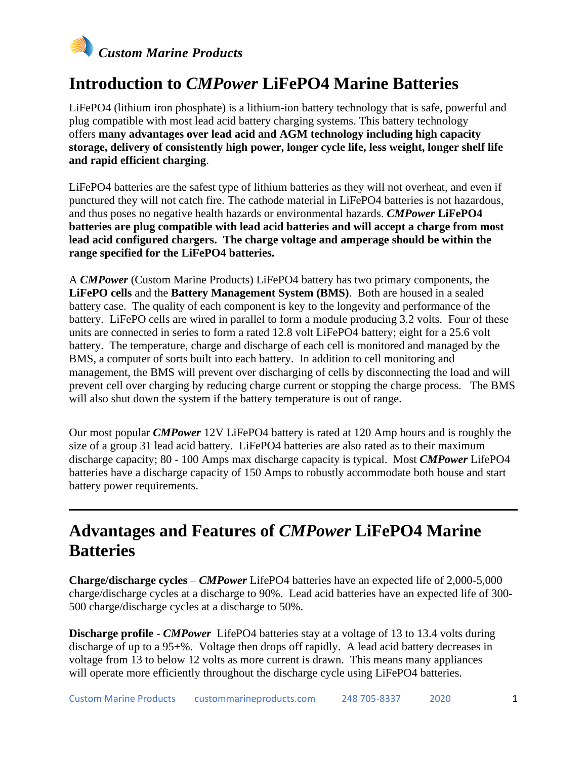

### **Introduction to** *CMPower* **LiFePO4 Marine Batteries**

LiFePO4 (lithium iron phosphate) is a lithium-ion battery technology that is safe, powerful and plug compatible with most lead acid battery charging systems. This battery technology offers **many advantages over lead acid and AGM technology including high capacity storage, delivery of consistently high power, longer cycle life, less weight, longer shelf life and rapid efficient charging**.

LiFePO4 batteries are the safest type of lithium batteries as they will not overheat, and even if punctured they will not catch fire. The cathode material in LiFePO4 batteries is not hazardous, and thus poses no negative health hazards or environmental hazards. *CMPower* **LiFePO4 batteries are plug compatible with lead acid batteries and will accept a charge from most lead acid configured chargers. The charge voltage and amperage should be within the range specified for the LiFePO4 batteries.**

A *CMPower* (Custom Marine Products) LiFePO4 battery has two primary components, the **LiFePO cells** and the **Battery Management System (BMS)**. Both are housed in a sealed battery case. The quality of each component is key to the longevity and performance of the battery. LiFePO cells are wired in parallel to form a module producing 3.2 volts. Four of these units are connected in series to form a rated 12.8 volt LiFePO4 battery; eight for a 25.6 volt battery. The temperature, charge and discharge of each cell is monitored and managed by the BMS, a computer of sorts built into each battery. In addition to cell monitoring and management, the BMS will prevent over discharging of cells by disconnecting the load and will prevent cell over charging by reducing charge current or stopping the charge process. The BMS will also shut down the system if the battery temperature is out of range.

Our most popular *CMPower* 12V LiFePO4 battery is rated at 120 Amp hours and is roughly the size of a group 31 lead acid battery. LiFePO4 batteries are also rated as to their maximum discharge capacity; 80 - 100 Amps max discharge capacity is typical. Most *CMPower* LifePO4 batteries have a discharge capacity of 150 Amps to robustly accommodate both house and start battery power requirements.

### **Advantages and Features of** *CMPower* **LiFePO4 Marine Batteries**

**Charge/discharge cycles** – *CMPower* LifePO4 batteries have an expected life of 2,000-5,000 charge/discharge cycles at a discharge to 90%. Lead acid batteries have an expected life of 300- 500 charge/discharge cycles at a discharge to 50%.

**Discharge profile** - *CMPower* LifePO4 batteries stay at a voltage of 13 to 13.4 volts during discharge of up to a 95+%. Voltage then drops off rapidly. A lead acid battery decreases in voltage from 13 to below 12 volts as more current is drawn. This means many appliances will operate more efficiently throughout the discharge cycle using LiFePO4 batteries.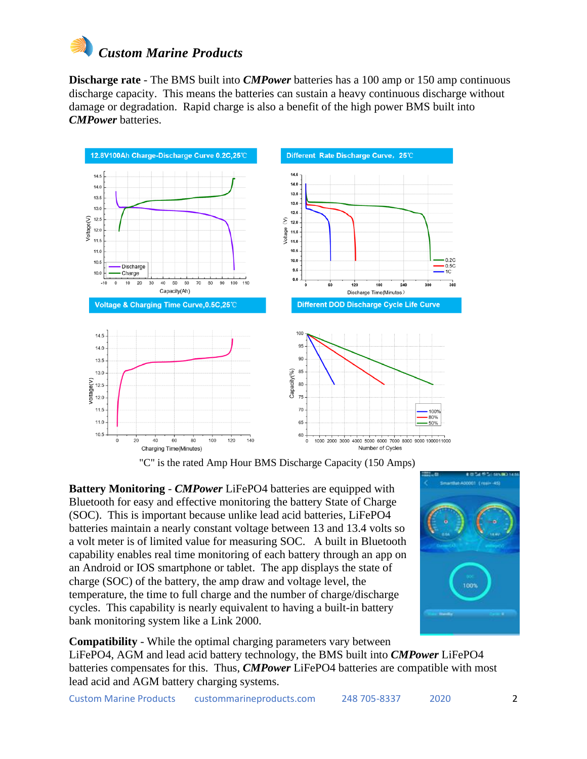

**Discharge rate** - The BMS built into *CMPower* batteries has a 100 amp or 150 amp continuous discharge capacity. This means the batteries can sustain a heavy continuous discharge without damage or degradation. Rapid charge is also a benefit of the high power BMS built into *CMPower* batteries.



"C" is the rated Amp Hour BMS Discharge Capacity (150 Amps)

**Battery Monitoring** - *CMPower* LiFePO4 batteries are equipped with Bluetooth for easy and effective monitoring the battery State of Charge (SOC). This is important because unlike lead acid batteries, LiFePO4 batteries maintain a nearly constant voltage between 13 and 13.4 volts so a volt meter is of limited value for measuring SOC. A built in Bluetooth capability enables real time monitoring of each battery through an app on an Android or IOS smartphone or tablet. The app displays the state of charge (SOC) of the battery, the amp draw and voltage level, the temperature, the time to full charge and the number of charge/discharge cycles. This capability is nearly equivalent to having a built-in battery bank monitoring system like a Link 2000.



**Compatibility** - While the optimal charging parameters vary between LiFePO4, AGM and lead acid battery technology, the BMS built into *CMPower* LiFePO4 batteries compensates for this. Thus, *CMPower* LiFePO4 batteries are compatible with most lead acid and AGM battery charging systems.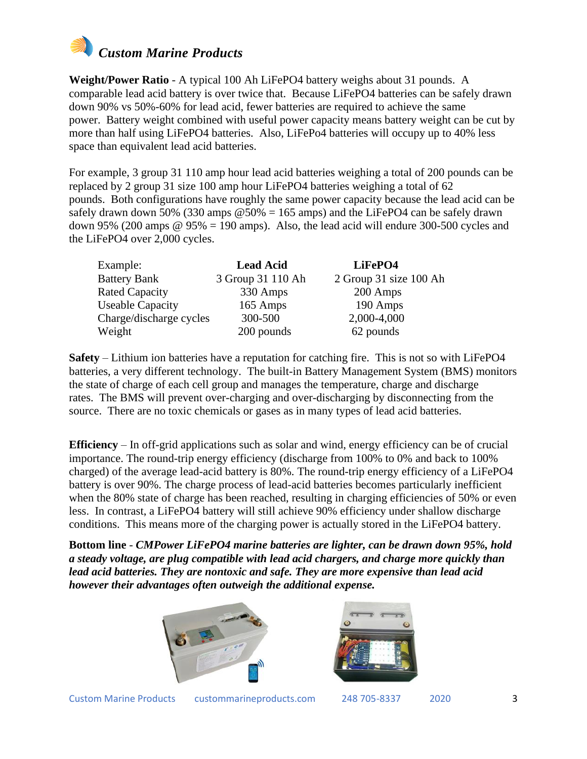

**Weight/Power Ratio** - A typical 100 Ah LiFePO4 battery weighs about 31 pounds. A comparable lead acid battery is over twice that. Because LiFePO4 batteries can be safely drawn down 90% vs 50%-60% for lead acid, fewer batteries are required to achieve the same power. Battery weight combined with useful power capacity means battery weight can be cut by more than half using LiFePO4 batteries. Also, LiFePo4 batteries will occupy up to 40% less space than equivalent lead acid batteries.

For example, 3 group 31 110 amp hour lead acid batteries weighing a total of 200 pounds can be replaced by 2 group 31 size 100 amp hour LiFePO4 batteries weighing a total of 62 pounds. Both configurations have roughly the same power capacity because the lead acid can be safely drawn down 50% (330 amps  $\omega$  50% = 165 amps) and the LiFePO4 can be safely drawn down 95% (200 amps  $\omega$  95% = 190 amps). Also, the lead acid will endure 300-500 cycles and the LiFePO4 over 2,000 cycles.

| Example:                | <b>Lead Acid</b>  | LiFePO4                |  |  |
|-------------------------|-------------------|------------------------|--|--|
| <b>Battery Bank</b>     | 3 Group 31 110 Ah | 2 Group 31 size 100 Ah |  |  |
| <b>Rated Capacity</b>   | 330 Amps          | 200 Amps               |  |  |
| <b>Useable Capacity</b> | 165 Amps          | 190 Amps               |  |  |
| Charge/discharge cycles | 300-500           | 2,000-4,000            |  |  |
| Weight                  | 200 pounds        | 62 pounds              |  |  |

**Safety** – Lithium ion batteries have a reputation for catching fire. This is not so with LiFePO4 batteries, a very different technology. The built-in Battery Management System (BMS) monitors the state of charge of each cell group and manages the temperature, charge and discharge rates. The BMS will prevent over-charging and over-discharging by disconnecting from the source. There are no toxic chemicals or gases as in many types of lead acid batteries.

**Efficiency** – In off-grid applications such as solar and wind, energy efficiency can be of crucial importance. The round-trip energy efficiency (discharge from 100% to 0% and back to 100% charged) of the average lead-acid battery is 80%. The round-trip energy efficiency of a LiFePO4 battery is over 90%. The charge process of lead-acid batteries becomes particularly inefficient when the 80% state of charge has been reached, resulting in charging efficiencies of 50% or even less. In contrast, a LiFePO4 battery will still achieve 90% efficiency under shallow discharge conditions. This means more of the charging power is actually stored in the LiFePO4 battery.

**Bottom line** - *CMPower LiFePO4 marine batteries are lighter, can be drawn down 95%, hold a steady voltage, are plug compatible with lead acid chargers, and charge more quickly than lead acid batteries. They are nontoxic and safe. They are more expensive than lead acid however their advantages often outweigh the additional expense.*





Custom Marine Products custommarineproducts.com 248 705-8337 2020 3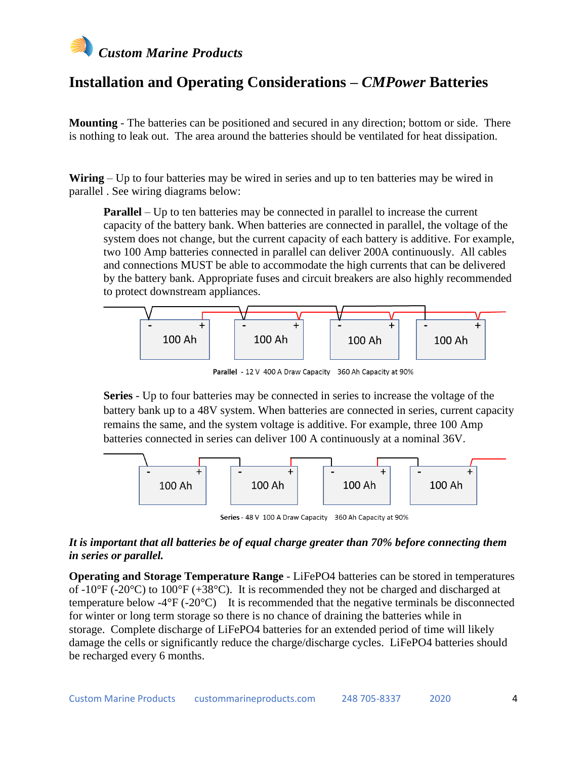

### **Installation and Operating Considerations –** *CMPower* **Batteries**

**Mounting** - The batteries can be positioned and secured in any direction; bottom or side. There is nothing to leak out. The area around the batteries should be ventilated for heat dissipation.

**Wiring** – Up to four batteries may be wired in series and up to ten batteries may be wired in parallel . See wiring diagrams below:

**Parallel** – Up to ten batteries may be connected in parallel to increase the current capacity of the battery bank. When batteries are connected in parallel, the voltage of the system does not change, but the current capacity of each battery is additive. For example, two 100 Amp batteries connected in parallel can deliver 200A continuously. All cables and connections MUST be able to accommodate the high currents that can be delivered by the battery bank. Appropriate fuses and circuit breakers are also highly recommended to protect downstream appliances.



Parallel - 12 V 400 A Draw Capacity 360 Ah Capacity at 90%

**Series** - Up to four batteries may be connected in series to increase the voltage of the battery bank up to a 48V system. When batteries are connected in series, current capacity remains the same, and the system voltage is additive. For example, three 100 Amp batteries connected in series can deliver 100 A continuously at a nominal 36V.



Series - 48 V 100 A Draw Capacity 360 Ah Capacity at 90%

#### *It is important that all batteries be of equal charge greater than 70% before connecting them in series or parallel.*

**Operating and Storage Temperature Range** - LiFePO4 batteries can be stored in temperatures of -10 $\degree$ F (-20 $\degree$ C) to 100 $\degree$ F (+38 $\degree$ C). It is recommended they not be charged and discharged at temperature below -4 $\rm{^{\circ}F}$  (-20 $\rm{^{\circ}C}$ ) It is recommended that the negative terminals be disconnected for winter or long term storage so there is no chance of draining the batteries while in storage. Complete discharge of LiFePO4 batteries for an extended period of time will likely damage the cells or significantly reduce the charge/discharge cycles. LiFePO4 batteries should be recharged every 6 months.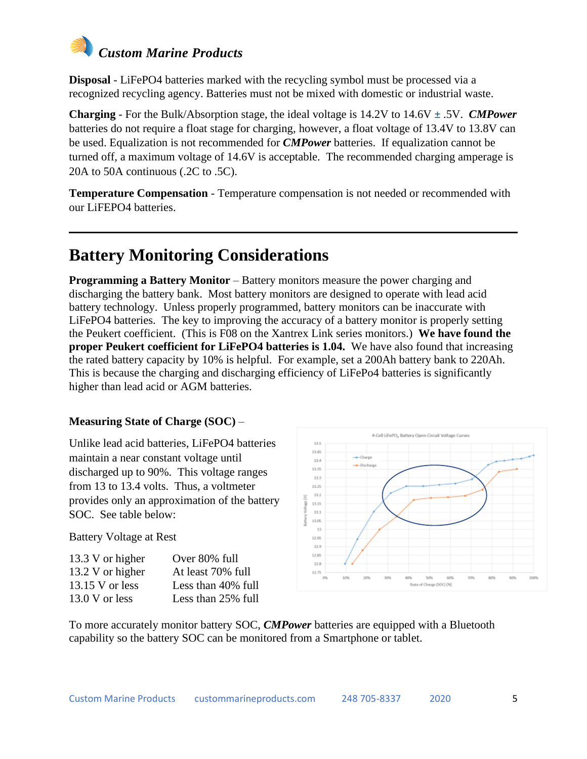# *Custom Marine Products*

**Disposal** - LiFePO4 batteries marked with the recycling symbol must be processed via a recognized recycling agency. Batteries must not be mixed with domestic or industrial waste.

**Charging** - For the Bulk/Absorption stage, the ideal voltage is 14.2V to 14.6V ± .5V. *CMPower* batteries do not require a float stage for charging, however, a float voltage of 13.4V to 13.8V can be used. Equalization is not recommended for *CMPower* batteries. If equalization cannot be turned off, a maximum voltage of 14.6V is acceptable. The recommended charging amperage is 20A to 50A continuous (.2C to .5C).

**Temperature Compensation** - Temperature compensation is not needed or recommended with our LiFEPO4 batteries.

# **Battery Monitoring Considerations**

**Programming a Battery Monitor** – Battery monitors measure the power charging and discharging the battery bank. Most battery monitors are designed to operate with lead acid battery technology. Unless properly programmed, battery monitors can be inaccurate with LiFePO4 batteries. The key to improving the accuracy of a battery monitor is properly setting the Peukert coefficient. (This is F08 on the Xantrex Link series monitors.) **We have found the proper Peukert coefficient for LiFePO4 batteries is 1.04.** We have also found that increasing the rated battery capacity by 10% is helpful. For example, set a 200Ah battery bank to 220Ah. This is because the charging and discharging efficiency of LiFePo4 batteries is significantly higher than lead acid or AGM batteries.

#### **Measuring State of Charge (SOC)** –

Unlike lead acid batteries, LiFePO4 batteries maintain a near constant voltage until discharged up to 90%. This voltage ranges from 13 to 13.4 volts. Thus, a voltmeter provides only an approximation of the battery SOC. See table below:

Battery Voltage at Rest

| 13.3 V or higher  | Over 80% full      |
|-------------------|--------------------|
| 13.2 V or higher  | At least 70% full  |
| $13.15$ V or less | Less than 40% full |
| $13.0 V$ or less  | Less than 25% full |



To more accurately monitor battery SOC, *CMPower* batteries are equipped with a Bluetooth capability so the battery SOC can be monitored from a Smartphone or tablet.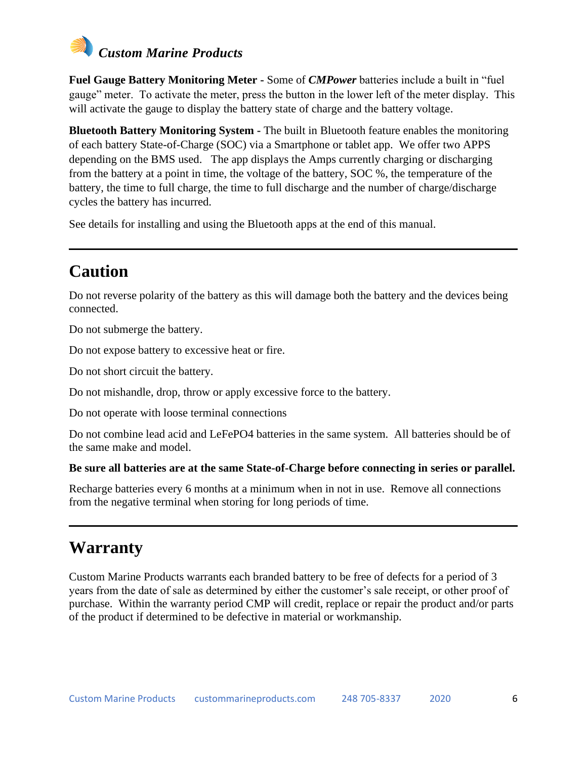

**Fuel Gauge Battery Monitoring Meter -** Some of *CMPower* batteries include a built in "fuel gauge" meter. To activate the meter, press the button in the lower left of the meter display. This will activate the gauge to display the battery state of charge and the battery voltage.

**Bluetooth Battery Monitoring System -** The built in Bluetooth feature enables the monitoring of each battery State-of-Charge (SOC) via a Smartphone or tablet app. We offer two APPS depending on the BMS used. The app displays the Amps currently charging or discharging from the battery at a point in time, the voltage of the battery, SOC %, the temperature of the battery, the time to full charge, the time to full discharge and the number of charge/discharge cycles the battery has incurred.

See details for installing and using the Bluetooth apps at the end of this manual.

# **Caution**

Do not reverse polarity of the battery as this will damage both the battery and the devices being connected.

Do not submerge the battery.

Do not expose battery to excessive heat or fire.

Do not short circuit the battery.

Do not mishandle, drop, throw or apply excessive force to the battery.

Do not operate with loose terminal connections

Do not combine lead acid and LeFePO4 batteries in the same system. All batteries should be of the same make and model.

#### **Be sure all batteries are at the same State-of-Charge before connecting in series or parallel.**

Recharge batteries every 6 months at a minimum when in not in use. Remove all connections from the negative terminal when storing for long periods of time.

### **Warranty**

Custom Marine Products warrants each branded battery to be free of defects for a period of 3 years from the date of sale as determined by either the customer's sale receipt, or other proof of purchase. Within the warranty period CMP will credit, replace or repair the product and/or parts of the product if determined to be defective in material or workmanship.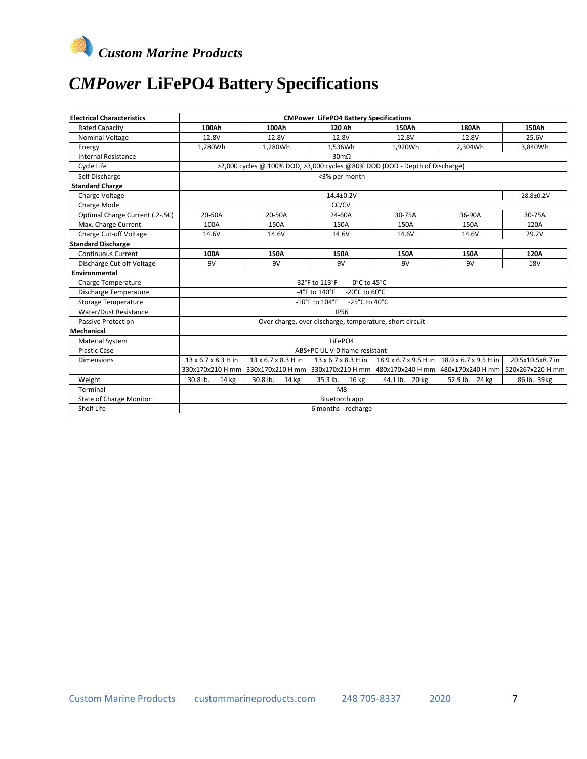

# *CMPower* **LiFePO4 Battery Specifications**

| <b>Electrical Characteristics</b> | <b>CMPower LiFePO4 Battery Specifications</b>                               |                        |                     |                       |                                                                           |                  |  |  |
|-----------------------------------|-----------------------------------------------------------------------------|------------------------|---------------------|-----------------------|---------------------------------------------------------------------------|------------------|--|--|
| <b>Rated Capacity</b>             | 100Ah                                                                       | 100Ah                  | 120 Ah              | 150Ah                 | 180Ah                                                                     | 150Ah            |  |  |
| Nominal Voltage                   | 12.8V                                                                       | 12.8V                  | 12.8V               | 12.8V                 | 12.8V                                                                     | 25.6V            |  |  |
| Energy                            | 1,280Wh                                                                     | 1,280Wh                | 1,536Wh             | 1,920Wh               | 2,304Wh                                                                   | 3,840Wh          |  |  |
| <b>Internal Resistance</b>        |                                                                             |                        | $30 \text{m}\Omega$ |                       |                                                                           |                  |  |  |
| Cycle Life                        | >2,000 cycles @ 100% DOD, >3,000 cycles @80% DOD (DOD - Depth of Discharge) |                        |                     |                       |                                                                           |                  |  |  |
| Self Discharge                    | <3% per month                                                               |                        |                     |                       |                                                                           |                  |  |  |
| <b>Standard Charge</b>            |                                                                             |                        |                     |                       |                                                                           |                  |  |  |
| Charge Voltage                    |                                                                             | 14.4±0.2V<br>28.8±0.2V |                     |                       |                                                                           |                  |  |  |
| Charge Mode                       |                                                                             |                        | CC/CV               |                       |                                                                           |                  |  |  |
| Optimal Charge Current (.2-.5C)   | 20-50A                                                                      | 20-50A                 | 24-60A              | 30-75A                | 36-90A                                                                    | 30-75A           |  |  |
| Max. Charge Current               | 100A                                                                        | 150A                   | 150A                | 150A                  | 150A                                                                      | 120A             |  |  |
| Charge Cut-off Voltage            | 14.6V                                                                       | 14.6V                  | 14.6V               | 14.6V                 | 14.6V                                                                     | 29.2V            |  |  |
| <b>Standard Discharge</b>         |                                                                             |                        |                     |                       |                                                                           |                  |  |  |
| <b>Continuous Current</b>         | 100A                                                                        | 150A                   | 150A                | 150A                  | 150A                                                                      | 120A             |  |  |
| Discharge Cut-off Voltage         | 9V                                                                          | 9V                     | 9V                  | 9V                    | 9V                                                                        | <b>18V</b>       |  |  |
| Environmental                     |                                                                             |                        |                     |                       |                                                                           |                  |  |  |
| Charge Temperature                | $0^{\circ}$ C to 45 $^{\circ}$ C<br>32°F to 113°F                           |                        |                     |                       |                                                                           |                  |  |  |
| Discharge Temperature             | -20°C to 60°C<br>$-4$ °F to $140$ °F                                        |                        |                     |                       |                                                                           |                  |  |  |
| <b>Storage Temperature</b>        | -10°F to $104$ °F<br>-25 $^{\circ}$ C to 40 $^{\circ}$ C                    |                        |                     |                       |                                                                           |                  |  |  |
| Water/Dust Resistance             | <b>IP56</b>                                                                 |                        |                     |                       |                                                                           |                  |  |  |
| <b>Passive Protection</b>         | Over charge, over discharge, temperature, short circuit                     |                        |                     |                       |                                                                           |                  |  |  |
| Mechanical                        |                                                                             |                        |                     |                       |                                                                           |                  |  |  |
| <b>Material System</b>            | LiFePO4                                                                     |                        |                     |                       |                                                                           |                  |  |  |
| <b>Plastic Case</b>               | ABS+PC UL V-0 flame resistant                                               |                        |                     |                       |                                                                           |                  |  |  |
| Dimensions                        | 13 x 6.7 x 8.3 H in                                                         | 13 x 6.7 x 8.3 H in    | 13 x 6.7 x 8.3 H in | 18.9 x 6.7 x 9.5 H in | 18.9 x 6.7 x 9.5 H in                                                     | 20.5x10.5x8.7 in |  |  |
|                                   | 330x170x210 H mm                                                            | 330x170x210 H mm       |                     |                       | 330x170x210 H mm   480x170x240 H mm   480x170x240 H mm   520x267x220 H mm |                  |  |  |
| Weight                            | 30.8 lb.<br>14 kg                                                           | 30.8 lb.<br>14 kg      | 35.3 lb.<br>16 kg   | 44.1 lb. 20 kg        | 52.9 lb. 24 kg                                                            | 86 lb. 39kg      |  |  |
| Terminal                          | M8                                                                          |                        |                     |                       |                                                                           |                  |  |  |
| <b>State of Charge Monitor</b>    | Bluetooth app                                                               |                        |                     |                       |                                                                           |                  |  |  |
| Shelf Life                        | 6 months - recharge                                                         |                        |                     |                       |                                                                           |                  |  |  |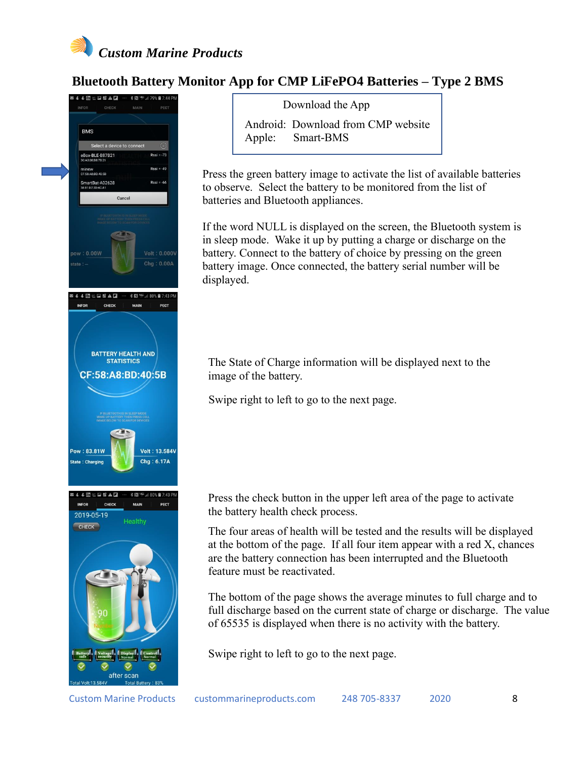

### **Bluetooth Battery Monitor App for CMP LiFePO4 Batteries – Type 2 BMS**



Download the App

Android: Download from CMP website Apple: Smart-BMS

Press the green battery image to activate the list of available batteries to observe. Select the battery to be monitored from the list of batteries and Bluetooth appliances.

If the word NULL is displayed on the screen, the Bluetooth system is in sleep mode. Wake it up by putting a charge or discharge on the battery. Connect to the battery of choice by pressing on the green battery image. Once connected, the battery serial number will be displayed.

The State of Charge information will be displayed next to the image of the battery.

Swipe right to left to go to the next page.

Press the check button in the upper left area of the page to activate the battery health check process.

The four areas of health will be tested and the results will be displayed at the bottom of the page. If all four item appear with a red X, chances are the battery connection has been interrupted and the Bluetooth feature must be reactivated.

The bottom of the page shows the average minutes to full charge and to full discharge based on the current state of charge or discharge. The value of 65535 is displayed when there is no activity with the battery.

Swipe right to left to go to the next page.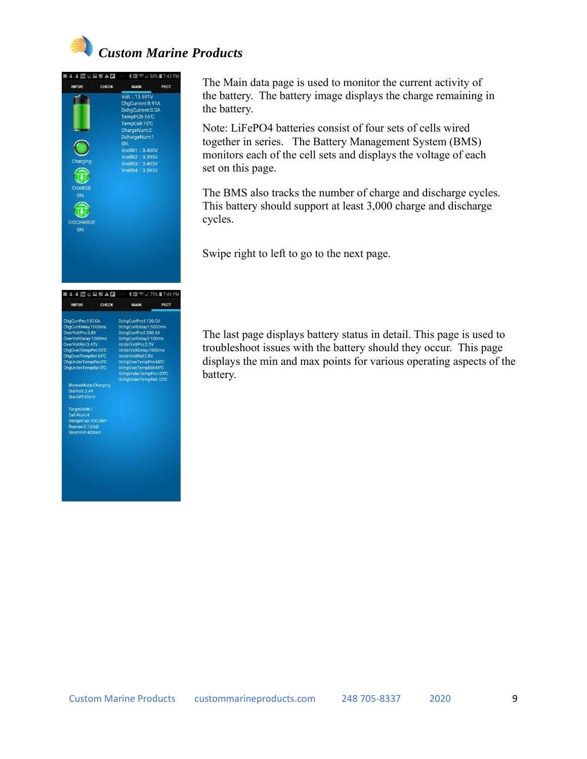



The Main data page is used to monitor the current activity of the battery. The battery image displays the charge remaining in the battery.

Note: LiFePO4 batteries consist of four sets of cells wired together in series. The Battery Management System (BMS) monitors each of the cell sets and displays the voltage of each set on this page.

The BMS also tracks the number of charge and discharge cycles. This battery should support at least 3,000 charge and discharge cycles.

Swipe right to left to go to the next page.

The last page displays battery status in detail. This page is used to troubleshoot issues with the battery should they occur. This page displays the min and max points for various operating aspects of the battery.